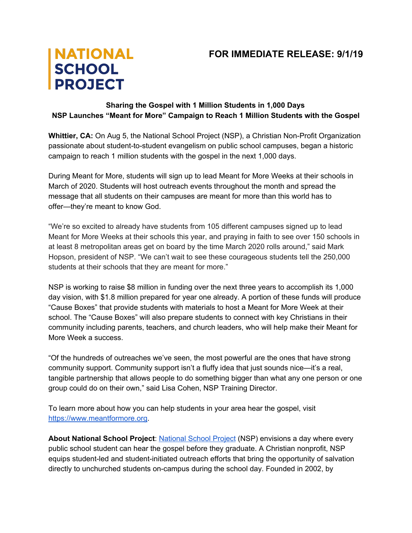## **FOR IMMEDIATE RELEASE: 9/1/19**

## **NATIONAL SCHOOL PROJECT**

## **Sharing the Gospel with 1 Million Students in 1,000 Days NSP Launches "Meant for More" Campaign to Reach 1 Million Students with the Gospel**

**Whittier, CA:** On Aug 5, the National School Project (NSP), a Christian Non-Profit Organization passionate about student-to-student evangelism on public school campuses, began a historic campaign to reach 1 million students with the gospel in the next 1,000 days.

During Meant for More, students will sign up to lead Meant for More Weeks at their schools in March of 2020. Students will host outreach events throughout the month and spread the message that all students on their campuses are meant for more than this world has to offer—they're meant to know God.

"We're so excited to already have students from 105 different campuses signed up to lead Meant for More Weeks at their schools this year, and praying in faith to see over 150 schools in at least 8 metropolitan areas get on board by the time March 2020 rolls around," said Mark Hopson, president of NSP. "We can't wait to see these courageous students tell the 250,000 students at their schools that they are meant for more."

NSP is working to raise \$8 million in funding over the next three years to accomplish its 1,000 day vision, with \$1.8 million prepared for year one already. A portion of these funds will produce "Cause Boxes" that provide students with materials to host a Meant for More Week at their school. The "Cause Boxes" will also prepare students to connect with key Christians in their community including parents, teachers, and church leaders, who will help make their Meant for More Week a success.

"Of the hundreds of outreaches we've seen, the most powerful are the ones that have strong community support. Community support isn't a fluffy idea that just sounds nice—it's a real, tangible partnership that allows people to do something bigger than what any one person or one group could do on their own," said Lisa Cohen, NSP Training Director.

To learn more about how you can help students in your area hear the gospel, visit [https://www.meantformore.org](http://meantformore.us/).

**About National School Project**: [National](https://nationalschoolproject.com/) School Project (NSP) envisions a day where every public school student can hear the gospel before they graduate. A Christian nonprofit, NSP equips student-led and student-initiated outreach efforts that bring the opportunity of salvation directly to unchurched students on-campus during the school day. Founded in 2002, by